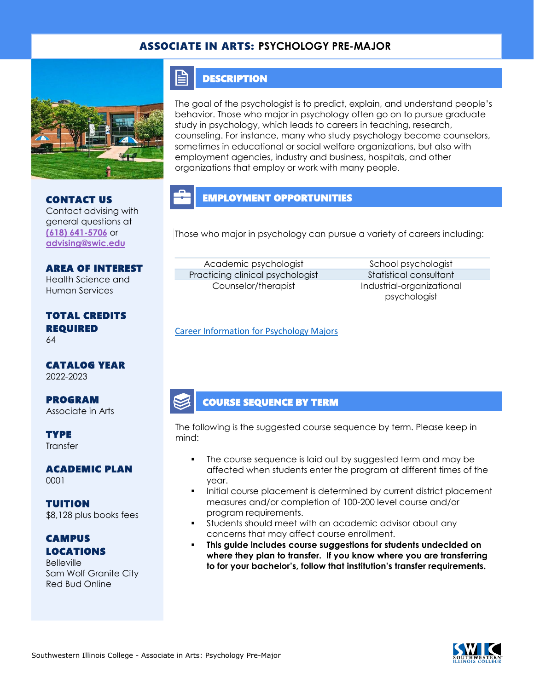#### ASSOCIATE IN ARTS: **PSYCHOLOGY PRE-MAJOR**



#### **DESCRIPTION**

E

The goal of the psychologist is to predict, explain, and understand people's behavior. Those who major in psychology often go on to pursue graduate study in psychology, which leads to careers in teaching, research, counseling. For instance, many who study psychology become counselors, sometimes in educational or social welfare organizations, but also with employment agencies, industry and business, hospitals, and other organizations that employ or work with many people.

#### CONTACT US Contact advising with general questions at

**[\(618\) 641-5706](tel:%20(618)%20641-5706)** or **[advising@swic.edu](mailto:advising@swic.edu)**

# AREA OF INTEREST Health Science and

Human Services

# TOTAL CREDITS REQUIRED

64

CATALOG YEAR 2022-2023

PROGRAM Associate in Arts

**TYPE Transfer** 

ACADEMIC PLAN 0001

TUITION \$8,128 plus books fees

### **CAMPUS** LOCATIONS

**Belleville** Sam Wolf Granite City Red Bud Online

EMPLOYMENT OPPORTUNITIES

Those who major in psychology can pursue a variety of careers including:

Academic psychologist School psychologist Practicing clinical psychologist Statistical consultant Counselor/therapist Industrial-organizational

psychologist

[Career Information for Psychology Majors](https://www.onetonline.org/find/quick?s=psychology)

#### COURSE SEQUENCE BY TERM

The following is the suggested course sequence by term. Please keep in mind:

- The course sequence is laid out by suggested term and may be affected when students enter the program at different times of the year.
- Initial course placement is determined by current district placement measures and/or completion of 100-200 level course and/or program requirements.
- Students should meet with an academic advisor about any concerns that may affect course enrollment.
- **This guide includes course suggestions for students undecided on where they plan to transfer. If you know where you are transferring to for your bachelor's, follow that institution's transfer requirements.**